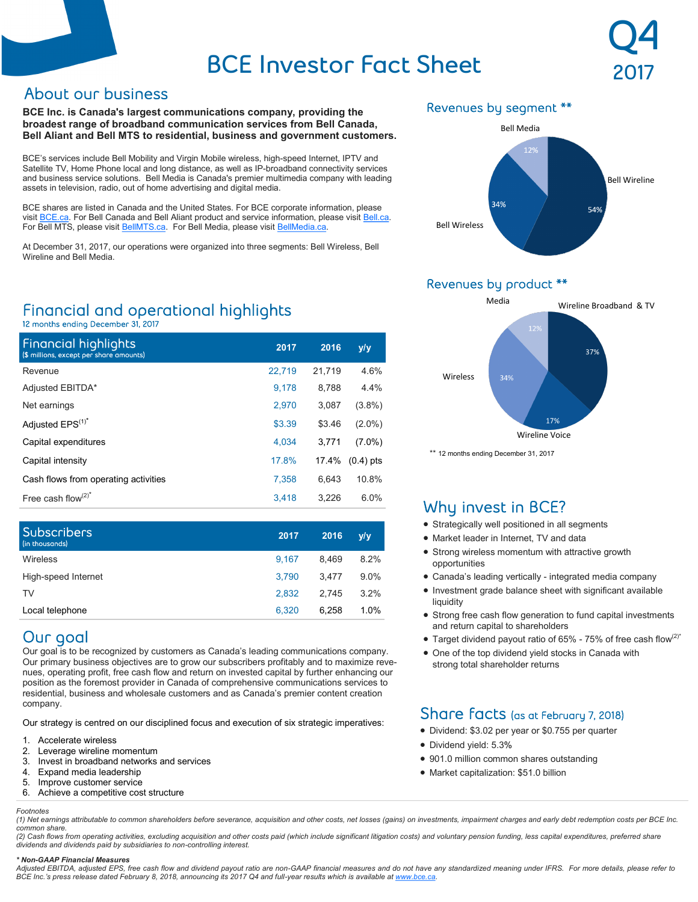# **BCE Investor Fact Sheet**

**BCE Inc. is Canada's largest communications company, providing the broadest range of broadband communication services from Bell Canada, Bell Aliant and Bell MTS to residential, business and government customers.**

BCE's services include Bell Mobility and Virgin Mobile wireless, high-speed Internet, IPTV and Satellite TV, Home Phone local and long distance, as well as IP-broadband connectivity services and business service solutions. Bell Media is Canada's premier multimedia company with leading assets in television, radio, out of home advertising and digital media.

BCE shares are listed in Canada and the United States. For BCE corporate information, please visit **[BCE.ca.](http://www.bce.ca)** For Bell Canada and Bell Aliant product and service information, please visit **[Bell.ca.](http://www.bell.ca)** For Bell MTS, please visit [BellMTS.ca.](https://about.bellmts.ca/) For Bell Media, please visit [BellMedia.ca.](http://www.bellmedia.ca)

At December 31, 2017, our operations were organized into three segments: Bell Wireless, Bell Wireline and Bell Media.

## Financial and operational highlights

12 months ending December 31, 2017

| <b>Financial highlights</b><br>(\$ millions, except per share amounts) | 2017   | 2016   | y/y         |
|------------------------------------------------------------------------|--------|--------|-------------|
| Revenue                                                                | 22,719 | 21,719 | 4.6%        |
| Adjusted EBITDA*                                                       | 9.178  | 8.788  | 4.4%        |
| Net earnings                                                           | 2,970  | 3,087  | $(3.8\%)$   |
| Adjusted EPS <sup>(1)*</sup>                                           | \$3.39 | \$3.46 | $(2.0\%)$   |
| Capital expenditures                                                   | 4.034  | 3.771  | $(7.0\%)$   |
| Capital intensity                                                      | 17.8%  | 17.4%  | $(0.4)$ pts |
| Cash flows from operating activities                                   | 7.358  | 6.643  | 10.8%       |
| Free cash flow $(2)^*$                                                 | 3.418  | 3,226  | 6.0%        |

| <b>Subscribers</b><br>(in thousands) | 2017  | 2016  | y/y     |
|--------------------------------------|-------|-------|---------|
| Wireless                             | 9.167 | 8.469 | 8.2%    |
| High-speed Internet                  | 3.790 | 3.477 | $9.0\%$ |
| TV                                   | 2.832 | 2.745 | 3.2%    |
| Local telephone                      | 6.320 | 6.258 | 1.0%    |

## Our goal

Our goal is to be recognized by customers as Canada's leading communications company. Our primary business objectives are to grow our subscribers profitably and to maximize revenues, operating profit, free cash flow and return on invested capital by further enhancing our position as the foremost provider in Canada of comprehensive communications services to residential, business and wholesale customers and as Canada's premier content creation company.

Our strategy is centred on our disciplined focus and execution of six strategic imperatives:

- 1. Accelerate wireless
- 2. Leverage wireline momentum<br>3. Invest in broadband networks
- Invest in broadband networks and services
- 4. Expand media leadership<br>5. Improve customer service
- 5. Improve customer service
- 6. Achieve a competitive cost structure

#### *Footnotes*

### Revenues by segment \*\*



**Q4**

**2017**

### Revenues by product \*\*



\*\* 12 months ending December 31, 2017

## Why invest in BCE?

- Strategically well positioned in all segments
- Market leader in Internet, TV and data
- Strong wireless momentum with attractive growth opportunities
- Canada's leading vertically integrated media company
- Investment grade balance sheet with significant available liquidity
- Strong free cash flow generation to fund capital investments and return capital to shareholders
- Target dividend payout ratio of 65% 75% of free cash flow<sup>(2)\*</sup>
- One of the top dividend yield stocks in Canada with strong total shareholder returns

## Share facts (as at February 7, 2018)

- Dividend: \$3.02 per year or \$0.755 per quarter
- Dividend yield: 5.3%
- 901.0 million common shares outstanding
- Market capitalization: \$51.0 billion

*(1) Net earnings attributable to common shareholders before severance, acquisition and other costs, net losses (gains) on investments, impairment charges and early debt redemption costs per BCE Inc. common share.*

*(2) Cash flows from operating activities, excluding acquisition and other costs paid (which include significant litigation costs) and voluntary pension funding, less capital expenditures, preferred share dividends and dividends paid by subsidiaries to non-controlling interest.*

#### *\* Non-GAAP Financial Measures*

*Adjusted EBITDA, adjusted EPS, free cash flow and dividend payout ratio are non-GAAP financial measures and do not have any standardized meaning under IFRS. For more details, please refer to BCE Inc.'s press release dated February 8, 2018, announcing its 2017 Q4 and full-year results which is available at [www.bce.ca.](http://www.bce.ca)*